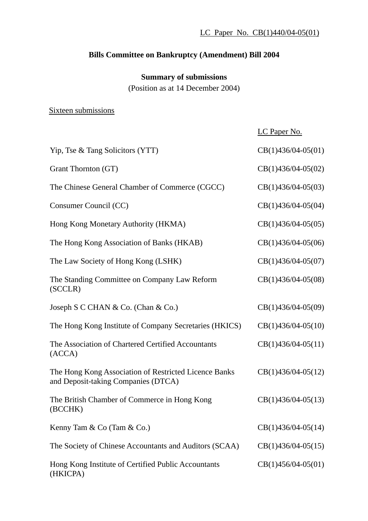# **Bills Committee on Bankruptcy (Amendment) Bill 2004**

### **Summary of submissions**

(Position as at 14 December 2004)

#### Sixteen submissions

|                                                                                              | LC Paper No.         |
|----------------------------------------------------------------------------------------------|----------------------|
| Yip, Tse & Tang Solicitors (YTT)                                                             | $CB(1)436/04-05(01)$ |
| Grant Thornton (GT)                                                                          | $CB(1)436/04-05(02)$ |
| The Chinese General Chamber of Commerce (CGCC)                                               | $CB(1)436/04-05(03)$ |
| Consumer Council (CC)                                                                        | $CB(1)436/04-05(04)$ |
| Hong Kong Monetary Authority (HKMA)                                                          | $CB(1)436/04-05(05)$ |
| The Hong Kong Association of Banks (HKAB)                                                    | $CB(1)436/04-05(06)$ |
| The Law Society of Hong Kong (LSHK)                                                          | $CB(1)436/04-05(07)$ |
| The Standing Committee on Company Law Reform<br>(SCCLR)                                      | $CB(1)436/04-05(08)$ |
| Joseph S C CHAN & Co. (Chan & Co.)                                                           | $CB(1)436/04-05(09)$ |
| The Hong Kong Institute of Company Secretaries (HKICS)                                       | $CB(1)436/04-05(10)$ |
| The Association of Chartered Certified Accountants<br>(ACCA)                                 | $CB(1)436/04-05(11)$ |
| The Hong Kong Association of Restricted Licence Banks<br>and Deposit-taking Companies (DTCA) | $CB(1)436/04-05(12)$ |
| The British Chamber of Commerce in Hong Kong<br>(BCCHK)                                      | $CB(1)436/04-05(13)$ |
| Kenny Tam & Co (Tam & Co.)                                                                   | $CB(1)436/04-05(14)$ |
| The Society of Chinese Accountants and Auditors (SCAA)                                       | $CB(1)436/04-05(15)$ |
| Hong Kong Institute of Certified Public Accountants<br>(HKICPA)                              | $CB(1)456/04-05(01)$ |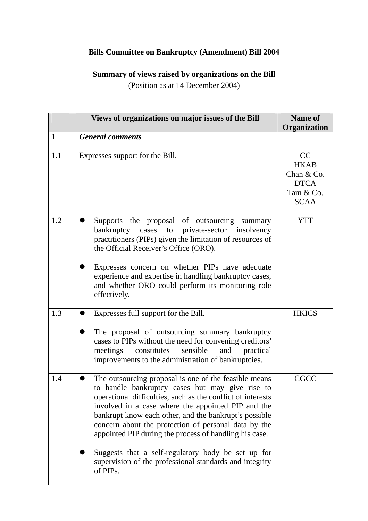### **Bills Committee on Bankruptcy (Amendment) Bill 2004**

# **Summary of views raised by organizations on the Bill**

(Position as at 14 December 2004)

|     | Views of organizations on major issues of the Bill                                                                                                                                                                                                                                                                                                                                                                                                                                                                                    | Name of<br>Organization                                                    |
|-----|---------------------------------------------------------------------------------------------------------------------------------------------------------------------------------------------------------------------------------------------------------------------------------------------------------------------------------------------------------------------------------------------------------------------------------------------------------------------------------------------------------------------------------------|----------------------------------------------------------------------------|
| 1   | <b>General comments</b>                                                                                                                                                                                                                                                                                                                                                                                                                                                                                                               |                                                                            |
| 1.1 | Expresses support for the Bill.                                                                                                                                                                                                                                                                                                                                                                                                                                                                                                       | CC<br><b>HKAB</b><br>Chan & Co.<br><b>DTCA</b><br>Tam & Co.<br><b>SCAA</b> |
| 1.2 | Supports the proposal of outsourcing summary<br>bankruptcy cases to private-sector insolvency<br>practitioners (PIPs) given the limitation of resources of<br>the Official Receiver's Office (ORO).<br>Expresses concern on whether PIPs have adequate<br>experience and expertise in handling bankruptcy cases,<br>and whether ORO could perform its monitoring role<br>effectively.                                                                                                                                                 | <b>YTT</b>                                                                 |
| 1.3 | Expresses full support for the Bill.<br>The proposal of outsourcing summary bankruptcy<br>cases to PIPs without the need for convening creditors'<br>meetings constitutes<br>sensible<br>and<br>practical<br>improvements to the administration of bankruptcies.                                                                                                                                                                                                                                                                      | <b>HKICS</b>                                                               |
| 1.4 | The outsourcing proposal is one of the feasible means<br>to handle bankruptcy cases but may give rise to<br>operational difficulties, such as the conflict of interests<br>involved in a case where the appointed PIP and the<br>bankrupt know each other, and the bankrupt's possible<br>concern about the protection of personal data by the<br>appointed PIP during the process of handling his case.<br>Suggests that a self-regulatory body be set up for<br>supervision of the professional standards and integrity<br>of PIPs. | <b>CGCC</b>                                                                |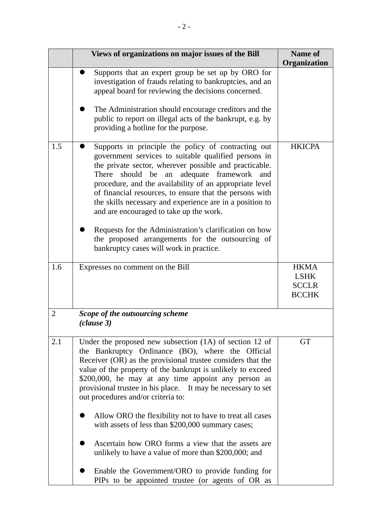|                | Views of organizations on major issues of the Bill                                                                                                                                                                                                                                                                                                                                                                                                                                                                                                                                                                                                                                                                                               | <b>Name of</b><br>Organization                             |
|----------------|--------------------------------------------------------------------------------------------------------------------------------------------------------------------------------------------------------------------------------------------------------------------------------------------------------------------------------------------------------------------------------------------------------------------------------------------------------------------------------------------------------------------------------------------------------------------------------------------------------------------------------------------------------------------------------------------------------------------------------------------------|------------------------------------------------------------|
|                | Supports that an expert group be set up by ORO for<br>investigation of frauds relating to bankruptcies, and an<br>appeal board for reviewing the decisions concerned.<br>The Administration should encourage creditors and the<br>public to report on illegal acts of the bankrupt, e.g. by<br>providing a hotline for the purpose.                                                                                                                                                                                                                                                                                                                                                                                                              |                                                            |
| 1.5            | Supports in principle the policy of contracting out<br>government services to suitable qualified persons in<br>the private sector, wherever possible and practicable.<br>adequate<br>framework<br>There<br>should<br>be<br>an<br>and<br>procedure, and the availability of an appropriate level<br>of financial resources, to ensure that the persons with<br>the skills necessary and experience are in a position to<br>and are encouraged to take up the work.<br>Requests for the Administration's clarification on how<br>the proposed arrangements for the outsourcing of<br>bankruptcy cases will work in practice.                                                                                                                       | <b>HKICPA</b>                                              |
| 1.6            | Expresses no comment on the Bill                                                                                                                                                                                                                                                                                                                                                                                                                                                                                                                                                                                                                                                                                                                 | <b>HKMA</b><br><b>LSHK</b><br><b>SCCLR</b><br><b>BCCHK</b> |
| $\overline{2}$ | Scope of the outsourcing scheme<br>(clause 3)                                                                                                                                                                                                                                                                                                                                                                                                                                                                                                                                                                                                                                                                                                    |                                                            |
| 2.1            | Under the proposed new subsection $(1A)$ of section 12 of<br>the Bankruptcy Ordinance (BO), where the Official<br>Receiver (OR) as the provisional trustee considers that the<br>value of the property of the bankrupt is unlikely to exceed<br>\$200,000, he may at any time appoint any person as<br>provisional trustee in his place. It may be necessary to set<br>out procedures and/or criteria to:<br>Allow ORO the flexibility not to have to treat all cases<br>with assets of less than \$200,000 summary cases;<br>Ascertain how ORO forms a view that the assets are<br>unlikely to have a value of more than \$200,000; and<br>Enable the Government/ORO to provide funding for<br>PIPs to be appointed trustee (or agents of OR as | <b>GT</b>                                                  |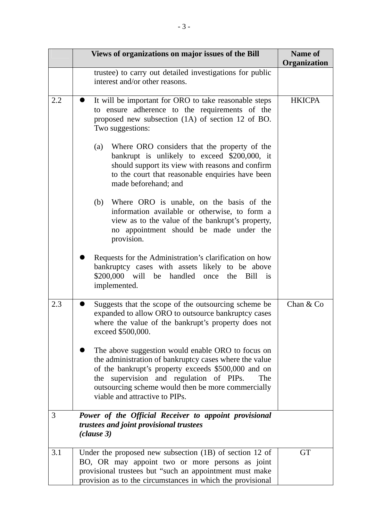|     | Views of organizations on major issues of the Bill                                                                                                                                                                                                                                                              | <b>Name of</b><br>Organization |
|-----|-----------------------------------------------------------------------------------------------------------------------------------------------------------------------------------------------------------------------------------------------------------------------------------------------------------------|--------------------------------|
|     | trustee) to carry out detailed investigations for public<br>interest and/or other reasons.                                                                                                                                                                                                                      |                                |
| 2.2 | It will be important for ORO to take reasonable steps<br>to ensure adherence to the requirements of the<br>proposed new subsection (1A) of section 12 of BO.<br>Two suggestions:                                                                                                                                | <b>HKICPA</b>                  |
|     | Where ORO considers that the property of the<br>(a)<br>bankrupt is unlikely to exceed \$200,000, it<br>should support its view with reasons and confirm<br>to the court that reasonable enquiries have been<br>made beforehand; and                                                                             |                                |
|     | Where ORO is unable, on the basis of the<br>(b)<br>information available or otherwise, to form a<br>view as to the value of the bankrupt's property,<br>no appointment should be made under the<br>provision.                                                                                                   |                                |
|     | Requests for the Administration's clarification on how<br>bankruptcy cases with assets likely to be above<br>\$200,000 will be handled once the Bill<br>$\overline{1}$<br>implemented.                                                                                                                          |                                |
| 2.3 | Suggests that the scope of the outsourcing scheme be<br>expanded to allow ORO to outsource bankruptcy cases<br>where the value of the bankrupt's property does not<br>exceed \$500,000.                                                                                                                         | Chan & Co                      |
|     | The above suggestion would enable ORO to focus on<br>the administration of bankruptcy cases where the value<br>of the bankrupt's property exceeds \$500,000 and on<br>supervision and regulation of PIPs.<br>The<br>the<br>outsourcing scheme would then be more commercially<br>viable and attractive to PIPs. |                                |
| 3   | Power of the Official Receiver to appoint provisional<br>trustees and joint provisional trustees<br>(clause 3)                                                                                                                                                                                                  |                                |
| 3.1 | Under the proposed new subsection $(1B)$ of section 12 of<br>BO, OR may appoint two or more persons as joint<br>provisional trustees but "such an appointment must make<br>provision as to the circumstances in which the provisional                                                                           | <b>GT</b>                      |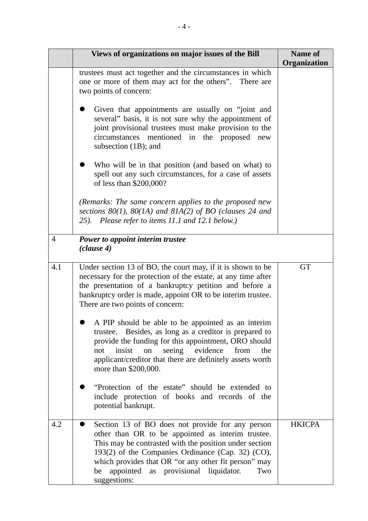|     | Views of organizations on major issues of the Bill                                                                                                                                                                                                                                                                                                | <b>Name of</b><br>Organization |
|-----|---------------------------------------------------------------------------------------------------------------------------------------------------------------------------------------------------------------------------------------------------------------------------------------------------------------------------------------------------|--------------------------------|
|     | trustees must act together and the circumstances in which<br>one or more of them may act for the others". There are<br>two points of concern:                                                                                                                                                                                                     |                                |
|     | Given that appointments are usually on "joint and<br>several" basis, it is not sure why the appointment of<br>joint provisional trustees must make provision to the<br>mentioned<br>in the proposed<br>circumstances<br>new<br>subsection $(1B)$ ; and                                                                                            |                                |
|     | Who will be in that position (and based on what) to<br>spell out any such circumstances, for a case of assets<br>of less than \$200,000?                                                                                                                                                                                                          |                                |
|     | (Remarks: The same concern applies to the proposed new<br>sections $80(1)$ , $80(1A)$ and $81A(2)$ of BO (clauses 24 and<br>25). Please refer to items 11.1 and 12.1 below.)                                                                                                                                                                      |                                |
| 4   | Power to appoint interim trustee<br>(clause 4)                                                                                                                                                                                                                                                                                                    |                                |
| 4.1 | Under section 13 of BO, the court may, if it is shown to be<br>necessary for the protection of the estate, at any time after<br>the presentation of a bankruptcy petition and before a<br>bankruptcy order is made, appoint OR to be interim trustee.<br>There are two points of concern:                                                         | <b>GT</b>                      |
|     | A PIP should be able to be appointed as an interim<br>trustee. Besides, as long as a creditor is prepared to<br>provide the funding for this appointment, ORO should<br>seeing evidence<br>insist<br>from<br>not<br>on<br>the<br>applicant/creditor that there are definitely assets worth<br>more than \$200,000.                                |                                |
|     | "Protection of the estate" should be extended to<br>include protection of books and records of the<br>potential bankrupt.                                                                                                                                                                                                                         |                                |
| 4.2 | Section 13 of BO does not provide for any person<br>other than OR to be appointed as interim trustee.<br>This may be contrasted with the position under section<br>193(2) of the Companies Ordinance (Cap. 32) (CO),<br>which provides that OR "or any other fit person" may<br>as provisional liquidator.<br>be appointed<br>Two<br>suggestions: | <b>HKICPA</b>                  |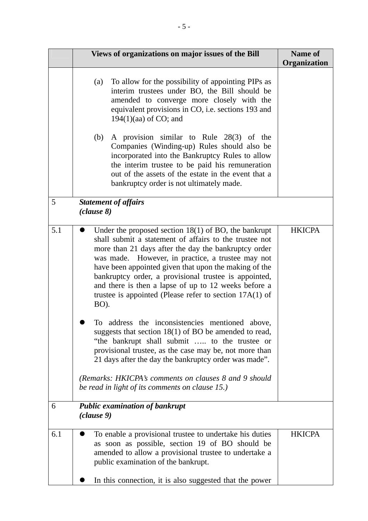|     | Views of organizations on major issues of the Bill                                                                                                                                                                                                                                                                                                                                                                                                                                                                                                                                                                                                                                                                                                                                                                      | <b>Name of</b><br>Organization |
|-----|-------------------------------------------------------------------------------------------------------------------------------------------------------------------------------------------------------------------------------------------------------------------------------------------------------------------------------------------------------------------------------------------------------------------------------------------------------------------------------------------------------------------------------------------------------------------------------------------------------------------------------------------------------------------------------------------------------------------------------------------------------------------------------------------------------------------------|--------------------------------|
|     | To allow for the possibility of appointing PIPs as<br>(a)<br>interim trustees under BO, the Bill should be<br>amended to converge more closely with the<br>equivalent provisions in CO, i.e. sections 193 and<br>$194(1)(aa)$ of CO; and<br>A provision similar to Rule 28(3) of the<br>(b)<br>Companies (Winding-up) Rules should also be<br>incorporated into the Bankruptcy Rules to allow<br>the interim trustee to be paid his remuneration<br>out of the assets of the estate in the event that a                                                                                                                                                                                                                                                                                                                 |                                |
| 5   | bankruptcy order is not ultimately made.<br><b>Statement of affairs</b>                                                                                                                                                                                                                                                                                                                                                                                                                                                                                                                                                                                                                                                                                                                                                 |                                |
|     | (clause 8)                                                                                                                                                                                                                                                                                                                                                                                                                                                                                                                                                                                                                                                                                                                                                                                                              |                                |
| 5.1 | Under the proposed section $18(1)$ of BO, the bankrupt<br>shall submit a statement of affairs to the trustee not<br>more than 21 days after the day the bankruptcy order<br>was made. However, in practice, a trustee may not<br>have been appointed given that upon the making of the<br>bankruptcy order, a provisional trustee is appointed,<br>and there is then a lapse of up to 12 weeks before a<br>trustee is appointed (Please refer to section $17A(1)$ of<br>BO).<br>To address the inconsistencies mentioned above.<br>suggests that section $18(1)$ of BO be amended to read,<br>"the bankrupt shall submit  to the trustee or<br>provisional trustee, as the case may be, not more than<br>21 days after the day the bankruptcy order was made".<br>(Remarks: HKICPA's comments on clauses 8 and 9 should | <b>HKICPA</b>                  |
|     | be read in light of its comments on clause 15.)                                                                                                                                                                                                                                                                                                                                                                                                                                                                                                                                                                                                                                                                                                                                                                         |                                |
| 6   | <b>Public examination of bankrupt</b><br>(clause 9)                                                                                                                                                                                                                                                                                                                                                                                                                                                                                                                                                                                                                                                                                                                                                                     |                                |
| 6.1 | To enable a provisional trustee to undertake his duties<br>as soon as possible, section 19 of BO should be<br>amended to allow a provisional trustee to undertake a<br>public examination of the bankrupt.                                                                                                                                                                                                                                                                                                                                                                                                                                                                                                                                                                                                              | <b>HKICPA</b>                  |
|     | In this connection, it is also suggested that the power                                                                                                                                                                                                                                                                                                                                                                                                                                                                                                                                                                                                                                                                                                                                                                 |                                |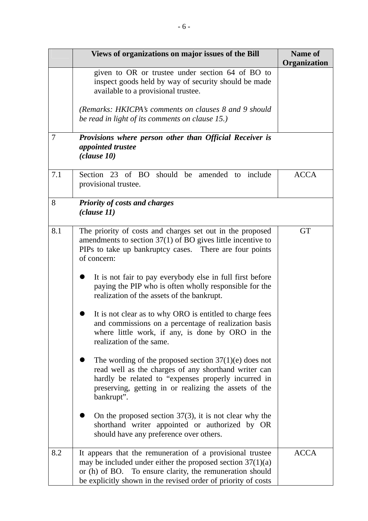|     | Views of organizations on major issues of the Bill                                                                                                                                                                                                     | Name of<br>Organization |
|-----|--------------------------------------------------------------------------------------------------------------------------------------------------------------------------------------------------------------------------------------------------------|-------------------------|
|     | given to OR or trustee under section 64 of BO to<br>inspect goods held by way of security should be made<br>available to a provisional trustee.                                                                                                        |                         |
|     | (Remarks: HKICPA's comments on clauses 8 and 9 should<br>be read in light of its comments on clause 15.)                                                                                                                                               |                         |
| 7   | Provisions where person other than Official Receiver is<br>appointed trustee<br>(clause 10)                                                                                                                                                            |                         |
| 7.1 | Section 23 of BO should<br>be amended to include<br>provisional trustee.                                                                                                                                                                               | <b>ACCA</b>             |
| 8   | <b>Priority of costs and charges</b><br>(clause 11)                                                                                                                                                                                                    |                         |
| 8.1 | The priority of costs and charges set out in the proposed<br>amendments to section $37(1)$ of BO gives little incentive to<br>PIPs to take up bankruptcy cases. There are four points<br>of concern:                                                   | <b>GT</b>               |
|     | It is not fair to pay everybody else in full first before<br>paying the PIP who is often wholly responsible for the<br>realization of the assets of the bankrupt.                                                                                      |                         |
|     | It is not clear as to why ORO is entitled to charge fees<br>and commissions on a percentage of realization basis<br>where little work, if any, is done by ORO in the<br>realization of the same.                                                       |                         |
|     | The wording of the proposed section $37(1)(e)$ does not<br>read well as the charges of any shorthand writer can<br>hardly be related to "expenses properly incurred in<br>preserving, getting in or realizing the assets of the<br>bankrupt".          |                         |
|     | On the proposed section $37(3)$ , it is not clear why the<br>shorthand writer appointed or authorized by OR<br>should have any preference over others.                                                                                                 |                         |
| 8.2 | It appears that the remuneration of a provisional trustee<br>may be included under either the proposed section $37(1)(a)$<br>or (h) of BO. To ensure clarity, the remuneration should<br>be explicitly shown in the revised order of priority of costs | <b>ACCA</b>             |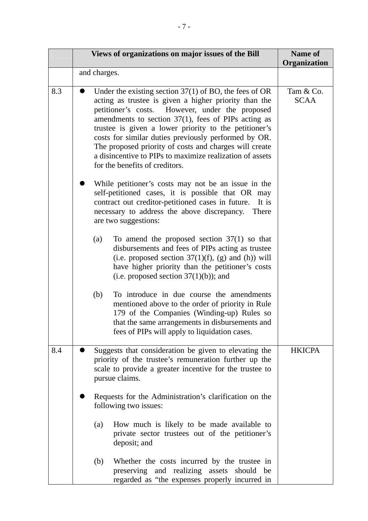|     |              | Views of organizations on major issues of the Bill                                                                                                                                                                                                                                                                                                                                                                                                                                                      | Name of<br>Organization  |
|-----|--------------|---------------------------------------------------------------------------------------------------------------------------------------------------------------------------------------------------------------------------------------------------------------------------------------------------------------------------------------------------------------------------------------------------------------------------------------------------------------------------------------------------------|--------------------------|
|     | and charges. |                                                                                                                                                                                                                                                                                                                                                                                                                                                                                                         |                          |
| 8.3 |              | Under the existing section $37(1)$ of BO, the fees of OR<br>acting as trustee is given a higher priority than the<br>petitioner's costs. However, under the proposed<br>amendments to section $37(1)$ , fees of PIPs acting as<br>trustee is given a lower priority to the petitioner's<br>costs for similar duties previously performed by OR.<br>The proposed priority of costs and charges will create<br>a disincentive to PIPs to maximize realization of assets<br>for the benefits of creditors. | Tam & Co.<br><b>SCAA</b> |
|     |              | While petitioner's costs may not be an issue in the<br>self-petitioned cases, it is possible that OR may<br>contract out creditor-petitioned cases in future.<br>It is<br>necessary to address the above discrepancy.<br>There<br>are two suggestions:                                                                                                                                                                                                                                                  |                          |
|     | (a)          | To amend the proposed section $37(1)$ so that<br>disbursements and fees of PIPs acting as trustee<br>(i.e. proposed section $37(1)(f)$ , (g) and (h)) will<br>have higher priority than the petitioner's costs<br>(i.e. proposed section $37(1)(b)$ ); and                                                                                                                                                                                                                                              |                          |
|     | (b)          | To introduce in due course the amendments<br>mentioned above to the order of priority in Rule<br>179 of the Companies (Winding-up) Rules so<br>that the same arrangements in disbursements and<br>fees of PIPs will apply to liquidation cases.                                                                                                                                                                                                                                                         |                          |
| 8.4 |              | Suggests that consideration be given to elevating the<br>priority of the trustee's remuneration further up the<br>scale to provide a greater incentive for the trustee to<br>pursue claims.                                                                                                                                                                                                                                                                                                             | <b>HKICPA</b>            |
|     |              | Requests for the Administration's clarification on the<br>following two issues:                                                                                                                                                                                                                                                                                                                                                                                                                         |                          |
|     | (a)          | How much is likely to be made available to<br>private sector trustees out of the petitioner's<br>deposit; and                                                                                                                                                                                                                                                                                                                                                                                           |                          |
|     | (b)          | Whether the costs incurred by the trustee in<br>preserving and realizing assets should be<br>regarded as "the expenses properly incurred in                                                                                                                                                                                                                                                                                                                                                             |                          |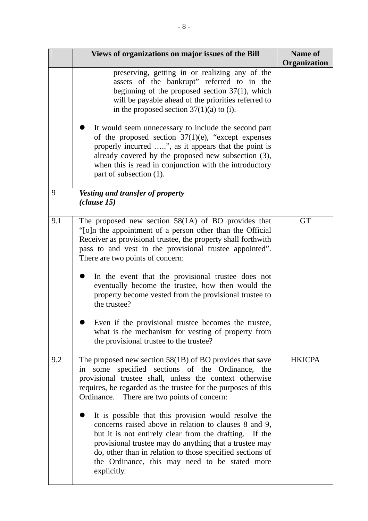|     | Views of organizations on major issues of the Bill                                                                                                                                                                                                                                                                                                              | <b>Name of</b><br>Organization |
|-----|-----------------------------------------------------------------------------------------------------------------------------------------------------------------------------------------------------------------------------------------------------------------------------------------------------------------------------------------------------------------|--------------------------------|
|     | preserving, getting in or realizing any of the<br>assets of the bankrupt" referred to in the<br>beginning of the proposed section $37(1)$ , which<br>will be payable ahead of the priorities referred to<br>in the proposed section $37(1)(a)$ to (i).                                                                                                          |                                |
|     | It would seem unnecessary to include the second part<br>of the proposed section $37(1)(e)$ , "except expenses"<br>properly incurred ", as it appears that the point is<br>already covered by the proposed new subsection (3),<br>when this is read in conjunction with the introductory<br>part of subsection (1).                                              |                                |
| 9   | Vesting and transfer of property<br>(clause 15)                                                                                                                                                                                                                                                                                                                 |                                |
| 9.1 | The proposed new section $58(1A)$ of BO provides that<br>"[o]n the appointment of a person other than the Official<br>Receiver as provisional trustee, the property shall forthwith<br>pass to and vest in the provisional trustee appointed".<br>There are two points of concern:                                                                              | <b>GT</b>                      |
|     | In the event that the provisional trustee does not<br>eventually become the trustee, how then would the<br>property become vested from the provisional trustee to<br>the trustee?                                                                                                                                                                               |                                |
|     | Even if the provisional trustee becomes the trustee.<br>what is the mechanism for vesting of property from<br>the provisional trustee to the trustee?                                                                                                                                                                                                           |                                |
| 9.2 | The proposed new section $58(1B)$ of BO provides that save<br>some specified sections of the Ordinance, the<br>1n<br>provisional trustee shall, unless the context otherwise<br>requires, be regarded as the trustee for the purposes of this<br>Ordinance. There are two points of concern:                                                                    | <b>HKICPA</b>                  |
|     | It is possible that this provision would resolve the<br>concerns raised above in relation to clauses 8 and 9,<br>but it is not entirely clear from the drafting. If the<br>provisional trustee may do anything that a trustee may<br>do, other than in relation to those specified sections of<br>the Ordinance, this may need to be stated more<br>explicitly. |                                |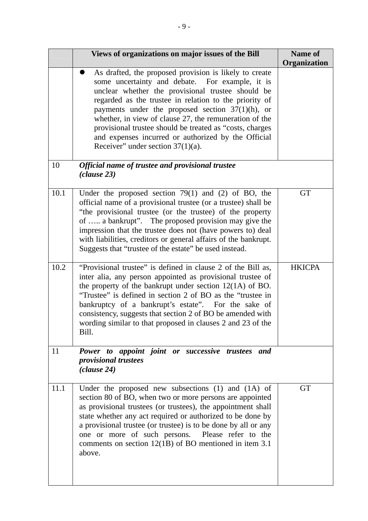|      | Views of organizations on major issues of the Bill                                                                                                                                                                                                                                                                                                                                                                                                                                                   | <b>Name of</b><br>Organization |
|------|------------------------------------------------------------------------------------------------------------------------------------------------------------------------------------------------------------------------------------------------------------------------------------------------------------------------------------------------------------------------------------------------------------------------------------------------------------------------------------------------------|--------------------------------|
|      | As drafted, the proposed provision is likely to create<br>some uncertainty and debate. For example, it is<br>unclear whether the provisional trustee should be<br>regarded as the trustee in relation to the priority of<br>payments under the proposed section $37(1)(h)$ , or<br>whether, in view of clause 27, the remuneration of the<br>provisional trustee should be treated as "costs, charges<br>and expenses incurred or authorized by the Official<br>Receiver" under section $37(1)(a)$ . |                                |
| 10   | Official name of trustee and provisional trustee<br>(clause 23)                                                                                                                                                                                                                                                                                                                                                                                                                                      |                                |
| 10.1 | Under the proposed section $79(1)$ and (2) of BO, the<br>official name of a provisional trustee (or a trustee) shall be<br>"the provisional trustee (or the trustee) of the property<br>of  a bankrupt". The proposed provision may give the<br>impression that the trustee does not (have powers to) deal<br>with liabilities, creditors or general affairs of the bankrupt.<br>Suggests that "trustee of the estate" be used instead.                                                              | <b>GT</b>                      |
| 10.2 | "Provisional trustee" is defined in clause 2 of the Bill as,<br>inter alia, any person appointed as provisional trustee of<br>the property of the bankrupt under section $12(1A)$ of BO.<br>"Trustee" is defined in section 2 of BO as the "trustee in<br>bankruptcy of a bankrupt's estate". For the sake of<br>consistency, suggests that section 2 of BO be amended with<br>wording similar to that proposed in clauses 2 and 23 of the<br>Bill.                                                  | <b>HKICPA</b>                  |
| 11   | Power to appoint joint or successive trustees and<br><i>provisional trustees</i><br>(clause 24)                                                                                                                                                                                                                                                                                                                                                                                                      |                                |
| 11.1 | Under the proposed new subsections $(1)$ and $(1A)$ of<br>section 80 of BO, when two or more persons are appointed<br>as provisional trustees (or trustees), the appointment shall<br>state whether any act required or authorized to be done by<br>a provisional trustee (or trustee) is to be done by all or any<br>one or more of such persons. Please refer to the<br>comments on section $12(1B)$ of BO mentioned in item 3.1<br>above.                                                         | <b>GT</b>                      |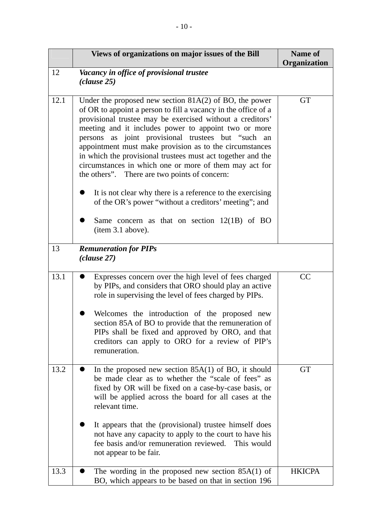|      | Views of organizations on major issues of the Bill                                                                                                                                                                                                                                                                                                                                                                                                                                                                                            | Name of<br>Organization |
|------|-----------------------------------------------------------------------------------------------------------------------------------------------------------------------------------------------------------------------------------------------------------------------------------------------------------------------------------------------------------------------------------------------------------------------------------------------------------------------------------------------------------------------------------------------|-------------------------|
| 12   | Vacancy in office of provisional trustee<br>(clause 25)                                                                                                                                                                                                                                                                                                                                                                                                                                                                                       |                         |
| 12.1 | Under the proposed new section $81A(2)$ of BO, the power<br>of OR to appoint a person to fill a vacancy in the office of a<br>provisional trustee may be exercised without a creditors'<br>meeting and it includes power to appoint two or more<br>as joint provisional trustees but "such an<br>persons<br>appointment must make provision as to the circumstances<br>in which the provisional trustees must act together and the<br>circumstances in which one or more of them may act for<br>the others". There are two points of concern: | <b>GT</b>               |
|      | It is not clear why there is a reference to the exercising<br>of the OR's power "without a creditors' meeting"; and                                                                                                                                                                                                                                                                                                                                                                                                                           |                         |
|      | Same concern as that on section $12(1B)$ of BO<br>(item 3.1 above).                                                                                                                                                                                                                                                                                                                                                                                                                                                                           |                         |
| 13   | <b>Remuneration for PIPs</b><br>(clause 27)                                                                                                                                                                                                                                                                                                                                                                                                                                                                                                   |                         |
| 13.1 | Expresses concern over the high level of fees charged<br>by PIPs, and considers that ORO should play an active<br>role in supervising the level of fees charged by PIPs.                                                                                                                                                                                                                                                                                                                                                                      | CC                      |
|      | Welcomes the introduction of the proposed new<br>section 85A of BO to provide that the remuneration of<br>PIPs shall be fixed and approved by ORO, and that<br>creditors can apply to ORO for a review of PIP's<br>remuneration.                                                                                                                                                                                                                                                                                                              |                         |
| 13.2 | In the proposed new section $85A(1)$ of BO, it should<br>be made clear as to whether the "scale of fees" as<br>fixed by OR will be fixed on a case-by-case basis, or<br>will be applied across the board for all cases at the<br>relevant time.                                                                                                                                                                                                                                                                                               | <b>GT</b>               |
|      | It appears that the (provisional) trustee himself does<br>not have any capacity to apply to the court to have his<br>fee basis and/or remuneration reviewed. This would<br>not appear to be fair.                                                                                                                                                                                                                                                                                                                                             |                         |
| 13.3 | The wording in the proposed new section $85A(1)$ of<br>BO, which appears to be based on that in section 196                                                                                                                                                                                                                                                                                                                                                                                                                                   | <b>HKICPA</b>           |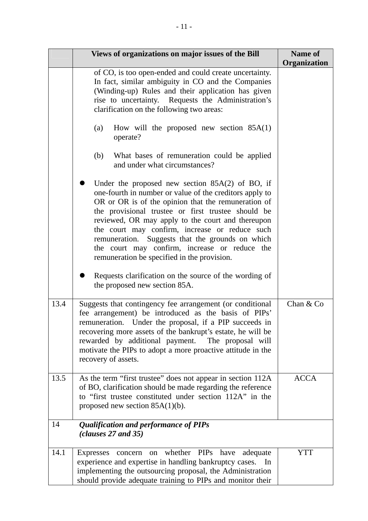|      | Views of organizations on major issues of the Bill                                                                                                                                                                                                                                                                                                                                                                                                                                   | <b>Name of</b><br>Organization |
|------|--------------------------------------------------------------------------------------------------------------------------------------------------------------------------------------------------------------------------------------------------------------------------------------------------------------------------------------------------------------------------------------------------------------------------------------------------------------------------------------|--------------------------------|
|      | of CO, is too open-ended and could create uncertainty.<br>In fact, similar ambiguity in CO and the Companies<br>(Winding-up) Rules and their application has given<br>rise to uncertainty. Requests the Administration's<br>clarification on the following two areas:                                                                                                                                                                                                                |                                |
|      | How will the proposed new section $85A(1)$<br>(a)<br>operate?                                                                                                                                                                                                                                                                                                                                                                                                                        |                                |
|      | (b)<br>What bases of remuneration could be applied<br>and under what circumstances?                                                                                                                                                                                                                                                                                                                                                                                                  |                                |
|      | Under the proposed new section $85A(2)$ of BO, if<br>one-fourth in number or value of the creditors apply to<br>OR or OR is of the opinion that the remuneration of<br>the provisional trustee or first trustee should be<br>reviewed, OR may apply to the court and thereupon<br>the court may confirm, increase or reduce such<br>remuneration. Suggests that the grounds on which<br>the court may confirm, increase or reduce the<br>remuneration be specified in the provision. |                                |
|      | Requests clarification on the source of the wording of<br>the proposed new section 85A.                                                                                                                                                                                                                                                                                                                                                                                              |                                |
| 13.4 | Suggests that contingency fee arrangement (or conditional<br>fee arrangement) be introduced as the basis of PIPs'<br>remuneration. Under the proposal, if a PIP succeeds in<br>recovering more assets of the bankrupt's estate, he will be<br>rewarded by additional payment. The proposal will<br>motivate the PIPs to adopt a more proactive attitude in the<br>recovery of assets.                                                                                                | Chan & Co                      |
| 13.5 | As the term "first trustee" does not appear in section 112A<br>of BO, clarification should be made regarding the reference<br>to "first trustee constituted under section 112A" in the<br>proposed new section $85A(1)(b)$ .                                                                                                                                                                                                                                                         | <b>ACCA</b>                    |
| 14   | Qualification and performance of PIPs<br>clauses 27 and 35)                                                                                                                                                                                                                                                                                                                                                                                                                          |                                |
| 14.1 | whether PIPs have<br>adequate<br><b>Expresses</b><br>concern<br>on<br>experience and expertise in handling bankruptcy cases.<br>In<br>implementing the outsourcing proposal, the Administration<br>should provide adequate training to PIPs and monitor their                                                                                                                                                                                                                        | <b>YTT</b>                     |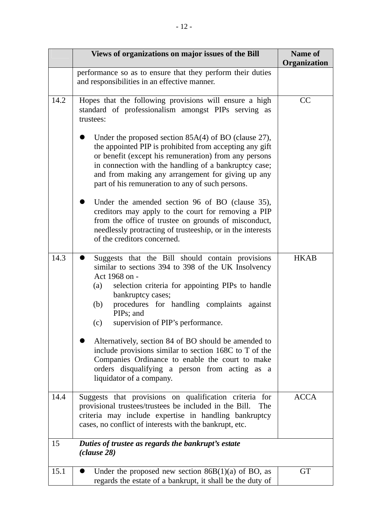|      | Views of organizations on major issues of the Bill                                                                                                                                                                                                                                                                                                                                                                                                                         | Name of<br>Organization |
|------|----------------------------------------------------------------------------------------------------------------------------------------------------------------------------------------------------------------------------------------------------------------------------------------------------------------------------------------------------------------------------------------------------------------------------------------------------------------------------|-------------------------|
|      | performance so as to ensure that they perform their duties<br>and responsibilities in an effective manner.                                                                                                                                                                                                                                                                                                                                                                 |                         |
| 14.2 | Hopes that the following provisions will ensure a high<br>standard of professionalism amongst PIPs serving as<br>trustees:<br>Under the proposed section $85A(4)$ of BO (clause 27),<br>the appointed PIP is prohibited from accepting any gift<br>or benefit (except his remuneration) from any persons<br>in connection with the handling of a bankruptcy case;<br>and from making any arrangement for giving up any<br>part of his remuneration to any of such persons. | CC                      |
|      | Under the amended section 96 of BO (clause 35),<br>creditors may apply to the court for removing a PIP<br>from the office of trustee on grounds of misconduct,<br>needlessly protracting of trusteeship, or in the interests<br>of the creditors concerned.                                                                                                                                                                                                                |                         |
| 14.3 | Suggests that the Bill should contain provisions<br>similar to sections 394 to 398 of the UK Insolvency<br>Act 1968 on -<br>selection criteria for appointing PIPs to handle<br>(a)<br>bankruptcy cases;<br>procedures for handling complaints against<br>(b)<br>PIPs; and<br>supervision of PIP's performance.<br>(c)                                                                                                                                                     | <b>HKAB</b>             |
|      | Alternatively, section 84 of BO should be amended to<br>include provisions similar to section 168C to T of the<br>Companies Ordinance to enable the court to make<br>orders disqualifying a person from acting as a<br>liquidator of a company.                                                                                                                                                                                                                            |                         |
| 14.4 | Suggests that provisions on qualification criteria for<br>provisional trustees/trustees be included in the Bill.<br>The<br>criteria may include expertise in handling bankruptcy<br>cases, no conflict of interests with the bankrupt, etc.                                                                                                                                                                                                                                | <b>ACCA</b>             |
| 15   | Duties of trustee as regards the bankrupt's estate<br>(clause 28)                                                                                                                                                                                                                                                                                                                                                                                                          |                         |
| 15.1 | Under the proposed new section $86B(1)(a)$ of BO, as<br>regards the estate of a bankrupt, it shall be the duty of                                                                                                                                                                                                                                                                                                                                                          | <b>GT</b>               |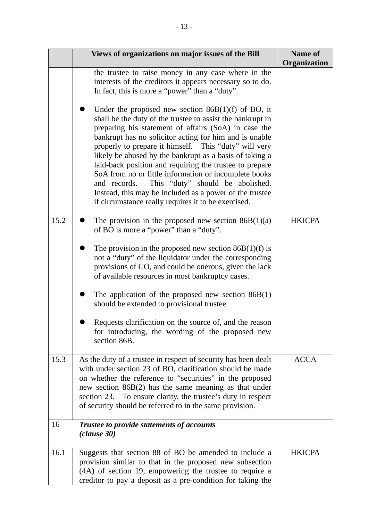|      | Views of organizations on major issues of the Bill                                                                                                                                                                                                                                                                                                                                                                                                                                                                                                                                                                                                                                                                                                                                                                    | Name of       |
|------|-----------------------------------------------------------------------------------------------------------------------------------------------------------------------------------------------------------------------------------------------------------------------------------------------------------------------------------------------------------------------------------------------------------------------------------------------------------------------------------------------------------------------------------------------------------------------------------------------------------------------------------------------------------------------------------------------------------------------------------------------------------------------------------------------------------------------|---------------|
|      | the trustee to raise money in any case where in the<br>interests of the creditors it appears necessary so to do.<br>In fact, this is more a "power" than a "duty".<br>Under the proposed new section $86B(1)(f)$ of BO, it<br>shall be the duty of the trustee to assist the bankrupt in<br>preparing his statement of affairs (SoA) in case the<br>bankrupt has no solicitor acting for him and is unable<br>properly to prepare it himself. This "duty" will very<br>likely be abused by the bankrupt as a basis of taking a<br>laid-back position and requiring the trustee to prepare<br>SoA from no or little information or incomplete books<br>and records. This "duty" should be abolished.<br>Instead, this may be included as a power of the trustee<br>if circumstance really requires it to be exercised. | Organization  |
| 15.2 | The provision in the proposed new section $86B(1)(a)$<br>of BO is more a "power" than a "duty".<br>The provision in the proposed new section $86B(1)(f)$ is<br>not a "duty" of the liquidator under the corresponding<br>provisions of CO, and could be onerous, given the lack<br>of available resources in most bankruptcy cases.<br>The application of the proposed new section $86B(1)$<br>should be extended to provisional trustee.<br>Requests clarification on the source of, and the reason<br>for introducing, the wording of the proposed new<br>section 86B.                                                                                                                                                                                                                                              | <b>HKICPA</b> |
| 15.3 | As the duty of a trustee in respect of security has been dealt<br>with under section 23 of BO, clarification should be made<br>on whether the reference to "securities" in the proposed<br>new section $86B(2)$ has the same meaning as that under<br>section 23. To ensure clarity, the trustee's duty in respect<br>of security should be referred to in the same provision.                                                                                                                                                                                                                                                                                                                                                                                                                                        | <b>ACCA</b>   |
| 16   | Trustee to provide statements of accounts<br>(clause 30)                                                                                                                                                                                                                                                                                                                                                                                                                                                                                                                                                                                                                                                                                                                                                              |               |
| 16.1 | Suggests that section 88 of BO be amended to include a<br>provision similar to that in the proposed new subsection<br>(4A) of section 19, empowering the trustee to require a<br>creditor to pay a deposit as a pre-condition for taking the                                                                                                                                                                                                                                                                                                                                                                                                                                                                                                                                                                          | <b>HKICPA</b> |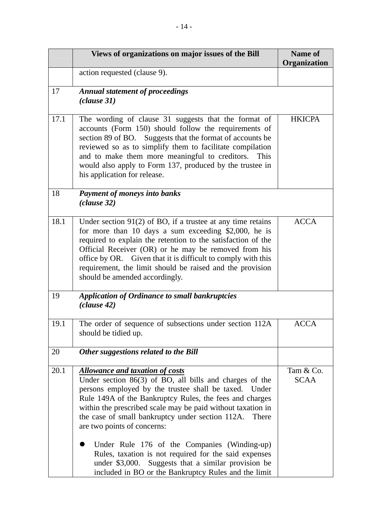|      | Views of organizations on major issues of the Bill                                                                                                                                                                                                                                                                                                                                                                                                                                                                                                                                                            | <b>Name of</b><br>Organization |
|------|---------------------------------------------------------------------------------------------------------------------------------------------------------------------------------------------------------------------------------------------------------------------------------------------------------------------------------------------------------------------------------------------------------------------------------------------------------------------------------------------------------------------------------------------------------------------------------------------------------------|--------------------------------|
|      | action requested (clause 9).                                                                                                                                                                                                                                                                                                                                                                                                                                                                                                                                                                                  |                                |
| 17   | <b>Annual statement of proceedings</b><br>(clause 31)                                                                                                                                                                                                                                                                                                                                                                                                                                                                                                                                                         |                                |
| 17.1 | The wording of clause 31 suggests that the format of<br>accounts (Form 150) should follow the requirements of<br>section 89 of BO. Suggests that the format of accounts be<br>reviewed so as to simplify them to facilitate compilation<br>and to make them more meaningful to creditors. This<br>would also apply to Form 137, produced by the trustee in<br>his application for release.                                                                                                                                                                                                                    | <b>HKICPA</b>                  |
| 18   | <b>Payment of moneys into banks</b><br>(clause 32)                                                                                                                                                                                                                                                                                                                                                                                                                                                                                                                                                            |                                |
| 18.1 | Under section $91(2)$ of BO, if a trustee at any time retains<br>for more than 10 days a sum exceeding \$2,000, he is<br>required to explain the retention to the satisfaction of the<br>Official Receiver (OR) or he may be removed from his<br>office by OR. Given that it is difficult to comply with this<br>requirement, the limit should be raised and the provision<br>should be amended accordingly.                                                                                                                                                                                                  | <b>ACCA</b>                    |
| 19   | <b>Application of Ordinance to small bankruptcies</b><br>(clause 42)                                                                                                                                                                                                                                                                                                                                                                                                                                                                                                                                          |                                |
| 19.1 | The order of sequence of subsections under section 112A<br>should be tidied up.                                                                                                                                                                                                                                                                                                                                                                                                                                                                                                                               | ACCA                           |
| 20   | Other suggestions related to the Bill                                                                                                                                                                                                                                                                                                                                                                                                                                                                                                                                                                         |                                |
| 20.1 | <b>Allowance and taxation of costs</b><br>Under section $86(3)$ of BO, all bills and charges of the<br>persons employed by the trustee shall be taxed. Under<br>Rule 149A of the Bankruptcy Rules, the fees and charges<br>within the prescribed scale may be paid without taxation in<br>the case of small bankruptcy under section 112A.<br>There<br>are two points of concerns:<br>Under Rule 176 of the Companies (Winding-up)<br>Rules, taxation is not required for the said expenses<br>Suggests that a similar provision be<br>under \$3,000.<br>included in BO or the Bankruptcy Rules and the limit | Tam & Co.<br><b>SCAA</b>       |